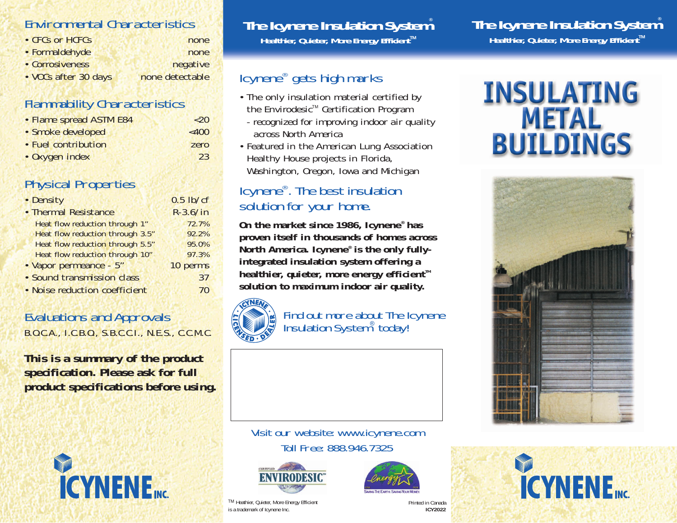### Environmental Characteristics

| • CFCs or HCFCs      | none            |
|----------------------|-----------------|
| • Formaldehyde       | none            |
| • Corrosiveness      | negative        |
| • VOCs after 30 days | none detectable |

### Flammability Characteristics

| • Flame spread ASTM E84 | $~<$ 20  |
|-------------------------|----------|
| · Smoke developed       | $~<$ 400 |
| • Fuel contribution     | zero     |
| • Oxygen index          | 23       |

### Physical Properties

| • Density                             | $0.5$ lb/cf |
|---------------------------------------|-------------|
| • Thermal Resistance                  | $R-3.6/in$  |
| <b>Heat flow reduction through 1"</b> | 72.7%       |
| Heat flow reduction through 3.5"      | 92.2%       |
| Heat flow reduction through 5.5"      | 95.0%       |
| Heat flow reduction through 10"       | 97.3%       |
| • Vapor permeance - 5"                | 10 perms    |
| · Sound transmission class            | 37          |
| · Noise reduction coefficient         |             |

### Evaluations and Approvals

B.O.C.A., I.C.B.O., S.B.C.C.I., N.E.S., C.C.M.C.

**This is a summary of the product specification. Please ask for full product specifications before using.**



### **The Icynene Insulation System®**

**Healthier, Quieter, More Energy Efficient™** 

### Icynene® gets high marks

- The only insulation material certified by the Envirodesic<sup>™</sup> Certification Program
- *recognized for improving indoor air quality across North America*
- Featured in the American Lung Association Healthy House projects in Florida, Washington, Oregon, Iowa and Michigan

### Icynene®. The best insulation solution for your home.

**On the market since 1986, Icynene® has proven itself in thousands of homes across North America. Icynene® is the only fullyintegrated insulation system offering a healthier, quieter, more energy efficient™ solution to maximum indoor air quality.**



Find out more about The Icynene Insulation System® today!

### Visit our website: www.icynene.com Toll Free: 888.946.7325





Printed in Canada **ICY2022**

## **The Icynene Insulation System®**

**Healthier, Quieter, More Energy Efficient™** 

# **INSULATING METAL<br>BUILDINGS**





TM Heathier, Quieter, More Energy Efficient is a trademark of Icynene Inc.